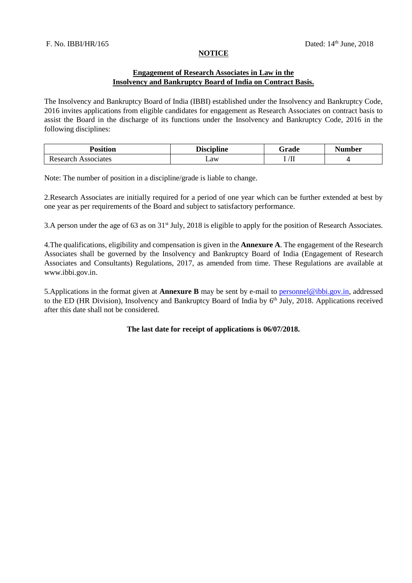### **NOTICE**

### **Engagement of Research Associates in Law in the Insolvency and Bankruptcy Board of India on Contract Basis.**

The Insolvency and Bankruptcy Board of India (IBBI) established under the Insolvency and Bankruptcy Code, 2016 invites applications from eligible candidates for engagement as Research Associates on contract basis to assist the Board in the discharge of its functions under the Insolvency and Bankruptcy Code, 2016 in the following disciplines:

| <b>Position</b>      | <b>Discipline</b>           | rade                     | Number |  |
|----------------------|-----------------------------|--------------------------|--------|--|
| ssociates<br>0000000 | Law<br>$\sim$ $\sim$ $\sim$ | $\mathbf{r}$<br>.<br>. . |        |  |

Note: The number of position in a discipline/grade is liable to change.

2.Research Associates are initially required for a period of one year which can be further extended at best by one year as per requirements of the Board and subject to satisfactory performance.

3.A person under the age of 63 as on 31<sup>st</sup> July, 2018 is eligible to apply for the position of Research Associates.

4.The qualifications, eligibility and compensation is given in the **Annexure A**. The engagement of the Research Associates shall be governed by the Insolvency and Bankruptcy Board of India (Engagement of Research Associates and Consultants) Regulations, 2017, as amended from time. These Regulations are available at www.ibbi.gov.in.

5.Applications in the format given at **Annexure B** may be sent by e-mail to personnel@ibbi.gov.in, addressed to the ED (HR Division), Insolvency and Bankruptcy Board of India by 6<sup>th</sup> July, 2018. Applications received after this date shall not be considered.

**The last date for receipt of applications is 06/07/2018.**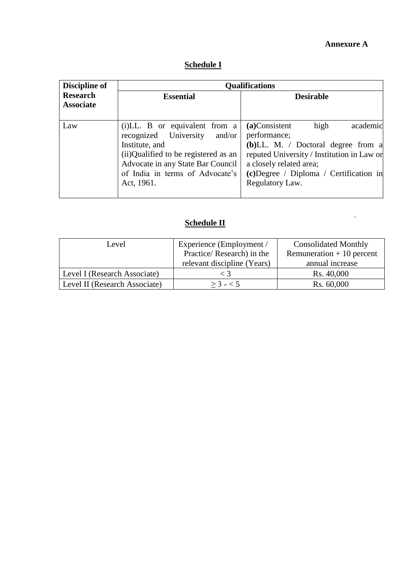## **Annexure A**

 $\label{eq:2.1} \frac{1}{\sqrt{2}}\int_{0}^{\infty}\frac{1}{\sqrt{2}}\left(\frac{1}{\sqrt{2}}\right)^{2}d\mu\left(\frac{1}{\sqrt{2}}\right)dx$ 

## **Schedule I**

| <b>Discipline of</b>                | <b>Qualifications</b>                                                                                                                                                                                            |                                                                                                                                                                                                                                     |  |  |
|-------------------------------------|------------------------------------------------------------------------------------------------------------------------------------------------------------------------------------------------------------------|-------------------------------------------------------------------------------------------------------------------------------------------------------------------------------------------------------------------------------------|--|--|
| <b>Research</b><br><b>Associate</b> | <b>Essential</b>                                                                                                                                                                                                 | <b>Desirable</b>                                                                                                                                                                                                                    |  |  |
| Law                                 | (i)LL. B or equivalent from a<br>recognized University<br>and/or<br>Institute, and<br>(ii)Qualified to be registered as an<br>Advocate in any State Bar Council<br>of India in terms of Advocate's<br>Act, 1961. | high<br>academic<br>(a)Consistent<br>performance;<br>$(b)$ LL. M. / Doctoral degree from a<br>reputed University / Institution in Law or<br>a closely related area;<br>$(c)$ Degree / Diploma / Certification in<br>Regulatory Law. |  |  |

# **Schedule II**

| Level                         | Experience (Employment /    | <b>Consolidated Monthly</b> |  |
|-------------------------------|-----------------------------|-----------------------------|--|
|                               | Practice/Research) in the   | Remuneration $+10$ percent  |  |
|                               | relevant discipline (Years) | annual increase             |  |
| Level I (Research Associate)  |                             | Rs. 40,000                  |  |
| Level II (Research Associate) | $> 3 - 5$                   | Rs. 60,000                  |  |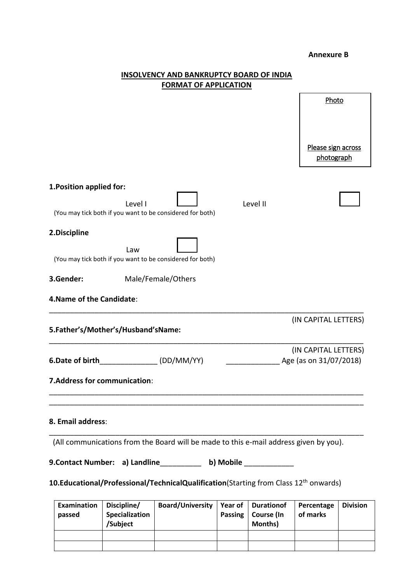#### **Annexure B**

|                           |                                    | 9. Contact Number: a) Landline___________ b) Mobile ____________<br>10. Educational/Professional/TechnicalQualification(Starting from Class 12 <sup>th</sup> onwards) |          |                                                |  |
|---------------------------|------------------------------------|-----------------------------------------------------------------------------------------------------------------------------------------------------------------------|----------|------------------------------------------------|--|
|                           |                                    | (All communications from the Board will be made to this e-mail address given by you).                                                                                 |          |                                                |  |
| 8. Email address:         |                                    |                                                                                                                                                                       |          |                                                |  |
|                           | 7. Address for communication:      |                                                                                                                                                                       |          |                                                |  |
| 6.Date of birth           |                                    | (DD/MM/YY)                                                                                                                                                            |          | (IN CAPITAL LETTERS)<br>Age (as on 31/07/2018) |  |
|                           | 5.Father's/Mother's/Husband'sName: |                                                                                                                                                                       |          | (IN CAPITAL LETTERS)                           |  |
| 4. Name of the Candidate: |                                    |                                                                                                                                                                       |          |                                                |  |
| 3.Gender:                 |                                    | Male/Female/Others                                                                                                                                                    |          |                                                |  |
|                           | Law                                | (You may tick both if you want to be considered for both)                                                                                                             |          |                                                |  |
| 2.Discipline              |                                    |                                                                                                                                                                       |          |                                                |  |
|                           | Level I                            | (You may tick both if you want to be considered for both)                                                                                                             | Level II |                                                |  |
| 1. Position applied for:  |                                    |                                                                                                                                                                       |          |                                                |  |
|                           |                                    |                                                                                                                                                                       |          | Please sign across<br>photograph               |  |
|                           |                                    |                                                                                                                                                                       |          |                                                |  |
|                           |                                    |                                                                                                                                                                       |          | Photo                                          |  |
|                           |                                    | <b>FORMAT OF APPLICATION</b>                                                                                                                                          |          |                                                |  |

# **INSOLVENCY AND BANKRUPTCY BOARD OF INDIA**